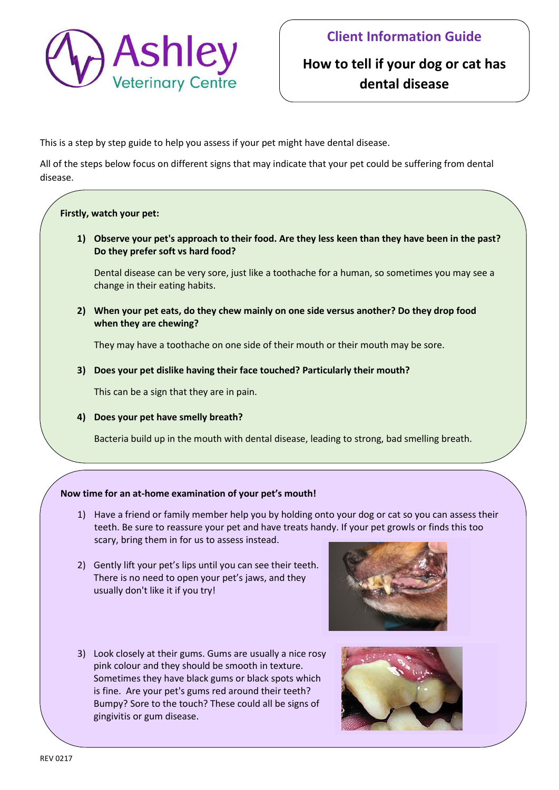

## **How to tell if your dog or cat has dental disease**

This is a step by step guide to help you assess if your pet might have dental disease.

All of the steps below focus on different signs that may indicate that your pet could be suffering from dental disease.

## **Firstly, watch your pet:**

**1) Observe your pet's approach to their food. Are they less keen than they have been in the past? Do they prefer soft vs hard food?** 

Dental disease can be very sore, just like a toothache for a human, so sometimes you may see a change in their eating habits.

**2) When your pet eats, do they chew mainly on one side versus another? Do they drop food when they are chewing?** 

They may have a toothache on one side of their mouth or their mouth may be sore.

**3) Does your pet dislike having their face touched? Particularly their mouth?** 

This can be a sign that they are in pain.

**4) Does your pet have smelly breath?** 

Bacteria build up in the mouth with dental disease, leading to strong, bad smelling breath.

## **Now time for an at-home examination of your pet's mouth!**

- 1) Have a friend or family member help you by holding onto your dog or cat so you can assess their teeth. Be sure to reassure your pet and have treats handy. If your pet growls or finds this too scary, bring them in for us to assess instead.
- 2) Gently lift your pet's lips until you can see their teeth. There is no need to open your pet's jaws, and they usually don't like it if you try!
- 3) Look closely at their gums. Gums are usually a nice rosy pink colour and they should be smooth in texture. Sometimes they have black gums or black spots which is fine. Are your pet's gums red around their teeth? Bumpy? Sore to the touch? These could all be signs of gingivitis or gum disease.